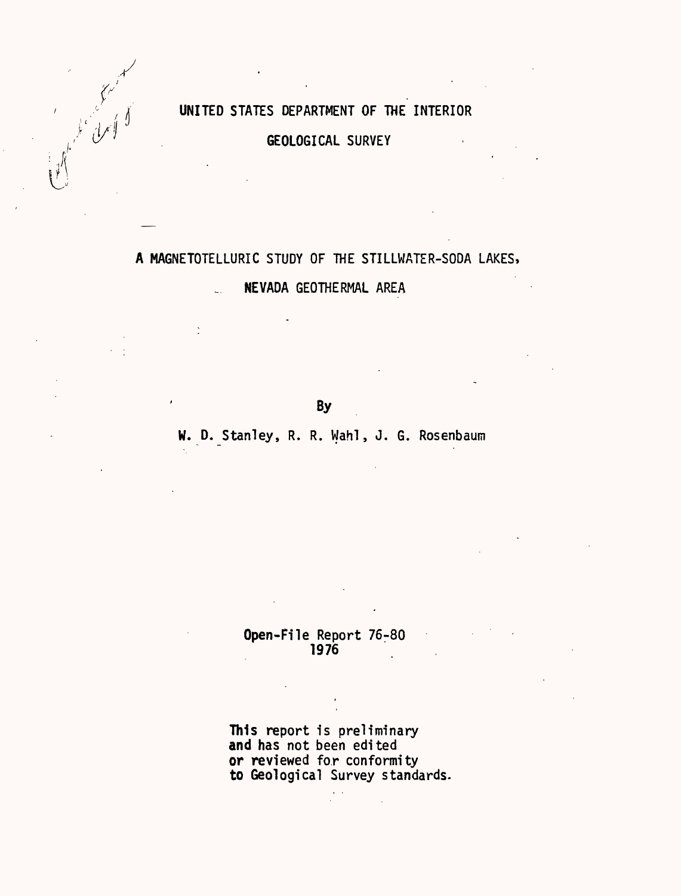## UNITED STATES DEPARTMENT OF THE INTERIOR

ا<br>أسل الل

GEOLOGICAL SURVEY

# A MAGNETOTELLURIC STUDY OF THE STILLWATER-SODA LAKES, NEVADA GEOTHERMAL AREA

**By** 

## W. D. Stanley, R. R. Wahl, J. G. Rosenbaum

### Open-File Report 76-80 1976

This report is preliminary and has not been edited or reviewed for conformity to Geological Survey standards.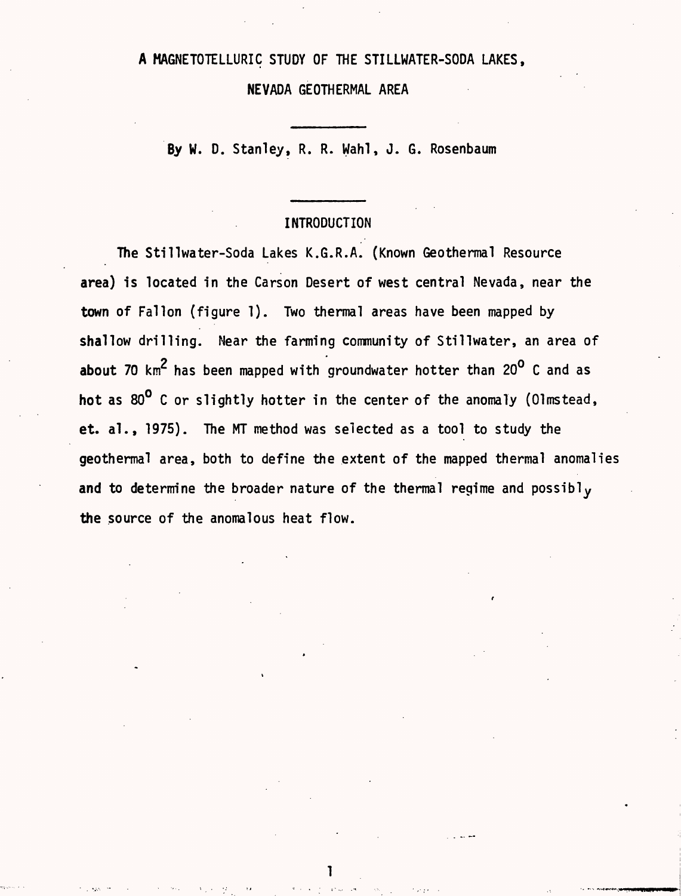## A MAGNETOTELLURIC STUDY OF THE STILLWATER-SODA LAKES,

NEVADA GEOTHERMAL AREA

By W. D. Stanley, R. R. Wahl, J. G. Rosenbaum

## INTRODUCTION

The Stillwater-Soda Lakes K.G.R.A. (Known Geothermal Resource area) is located in the Carson Desert of west central Nevada, near the town of Fallon (figure 1). Two thermal areas have been mapped by shallow drilling. Near the farming community of Stillwater, an area of about 70  $\text{km}^2$  has been mapped with groundwater hotter than 20 $^{\text{o}}$  C and as hot as 80<sup>0</sup> C or slightly hotter in the center of the anomaly (Olmstead, et. al., 1975). The MT method was selected as a tool to study the geothermal area, both to define the extent of the mapped thermal anomalies and to determine the broader nature of the thermal regime and possibl<sub>v</sub> the source of the anomalous heat flow.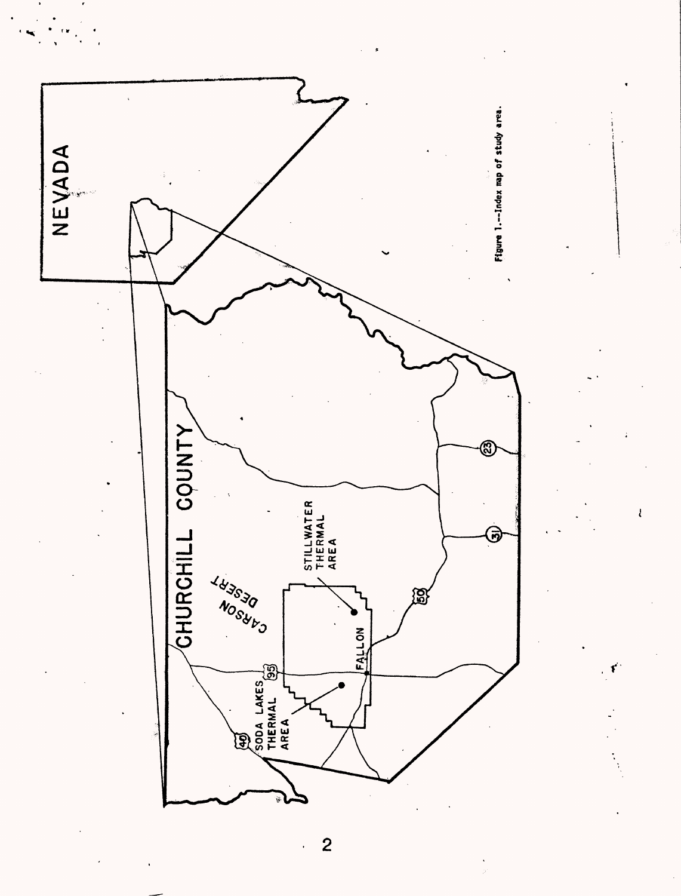

 $\overline{c}$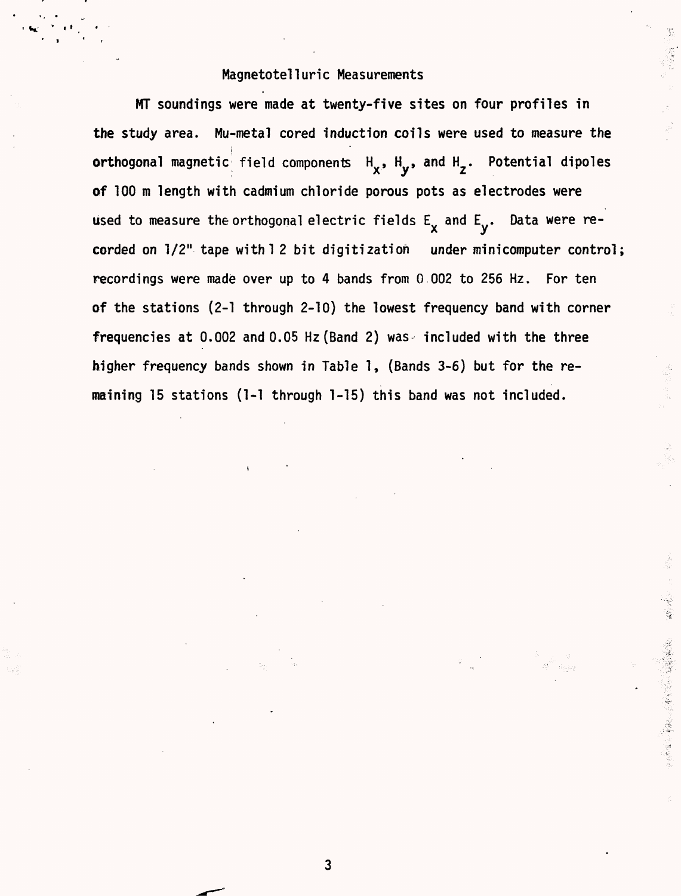#### Magnetotelluric Measurements

MT soundings were made at twenty-five sites on four profiles in the study area. Mu-metal cored induction coils were used to measure the orthogonal magnetic field components  $H_{\chi}$ ,  $H_{\chi}$ , and  $H_{\chi}$ . Potential dipoles of 100 m length with cadmium chloride porous pots as electrodes were used to measure the orthogonal electric fields  $\mathsf{E}_\mathbf{x}$  and  $\mathsf{E}_\mathbf{y}$ . Data were recorded on  $1/2$ " tape with  $1/2$  bit digitization under minicomputer control; recordings were made over up to 4 bands from 0 002 to 256 Hz. For ten of the stations (2-1 through 2-10) the lowest frequency band with corner frequencies at  $0.002$  and  $0.05$  Hz (Band 2) was included with the three higher frequency bands shown in Table 1, (Bands 3-6) but for the remaining 15 stations (1-1 through 1-15) this band was not included.

3

्रोक अपूर्ण<br>जन्म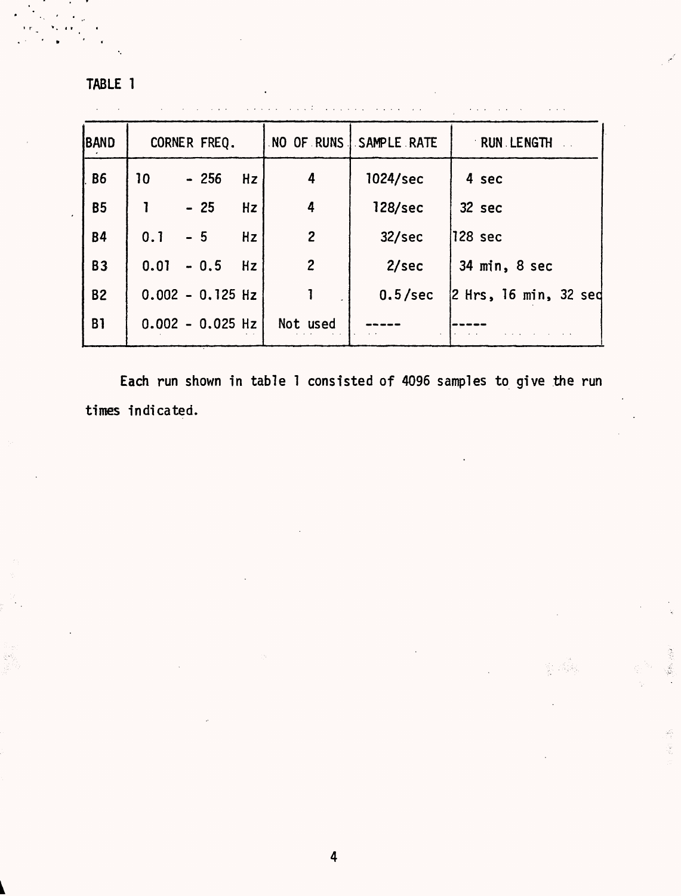TABLE 1

| <b>BAND</b> | CORNER FREQ. |                    |    |                | NO OF RUNS SAMPLE RATE | RUN LENGTH               |
|-------------|--------------|--------------------|----|----------------|------------------------|--------------------------|
| <b>B6</b>   | 10           | $-256$             | Hz | 4              | 1024/sec               | 4 sec                    |
| <b>B5</b>   |              | $-25$              | Hz | 4              | 128/sec                | 32 sec                   |
| <b>B4</b>   | 0.1          | $-5$               | Hz | $\overline{c}$ | 32/sec                 | 128 sec                  |
| <b>B3</b>   | 0.01         | $-0.5$             | Hz | $\overline{c}$ | 2/sec                  | 34 min, 8 sec            |
| <b>B2</b>   |              | $0.002 - 0.125$ Hz |    |                | 0.5/sec                | $ 2$ Hrs, 16 min, 32 sed |
| <b>B1</b>   |              | $0.002 - 0.025$ Hz |    | Not used       |                        |                          |

Each run shown in table 1 consisted of 4096 samples to give the run times indicated.

 $\label{eq:2} \frac{\partial^2 f}{\partial x^2} \partial x^2 + \frac{\partial^2 f}{\partial y^2} \partial y^2$ 

S.

i di Jap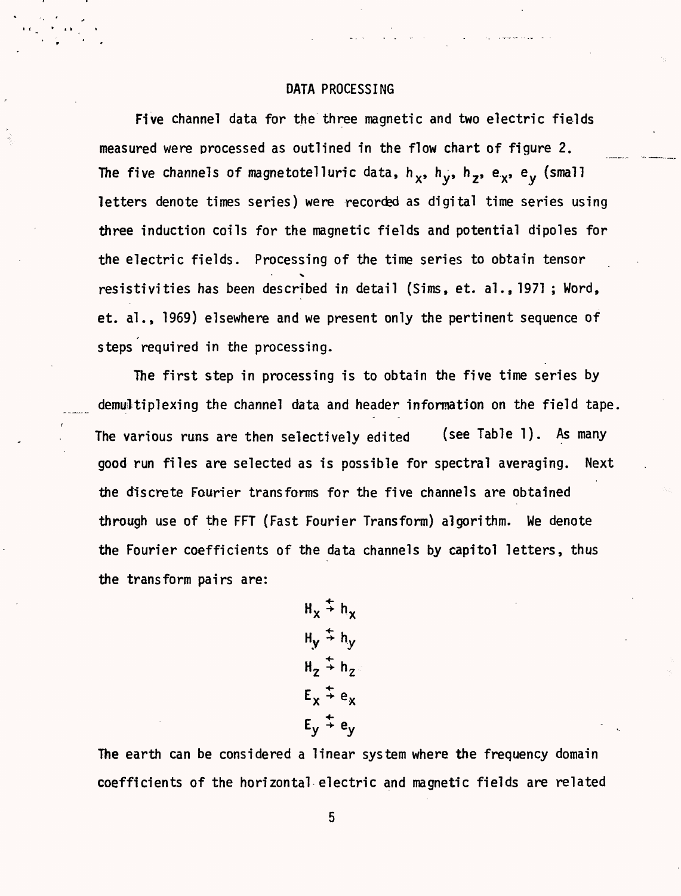#### DATA PROCESSING

Five channel data for the three magnetic and two electric fields measured were processed as outlined in the flow chart of figure 2. The five channels of magnetotelluric data,  $h_x$ ,  $h_y$ ,  $h_y$ ,  $e_x$ ,  $e_y$  (small letters denote times series) were recorded as digital time series using three induction coils for the magnetic fields and potential dipoles for the electric fields. Processing of the time series to obtain tensor  $\overline{\phantom{0}}$ resistivities has been described in detail (Sims, et. al.,1971 ; Word, et. al., 1969) elsewhere and we present only the pertinent sequence of steps required in the processing.

The first step in processing is to obtain the five time series by demultiplexing the channel data and header information on the field tape. The various runs are then selectively edited (see Table 1). As many good run files are selected as is possible for spectral averaging. Next the discrete Fourier transforms for the five channels are obtained through use of the FFT (Fast Fourier Transform) algorithm. We denote the Fourier coefficients of the data channels by capitol letters, thus the transform pairs are:

> $H_v \overset{+}{\rightarrow} H_v$  $H_V \stackrel{+}{\rightarrow} h_V$  $H_2 \stackrel{+}{\rightarrow} H_2$  $E_x \div e_x$  $E_v \div e_v$

The earth can be considered a linear system where the frequency domain coefficients of the horizontal electric and magnetic fields are related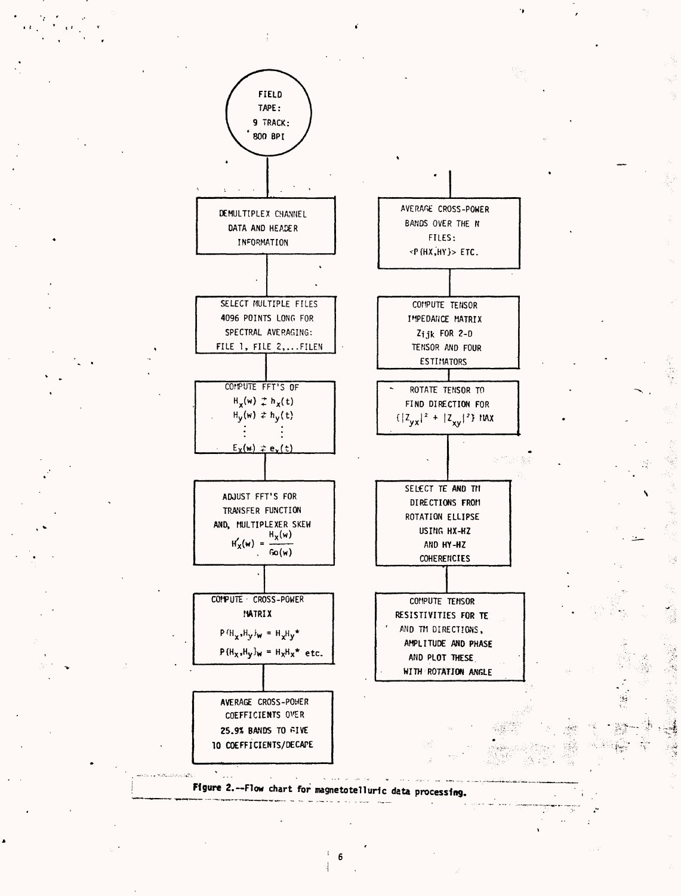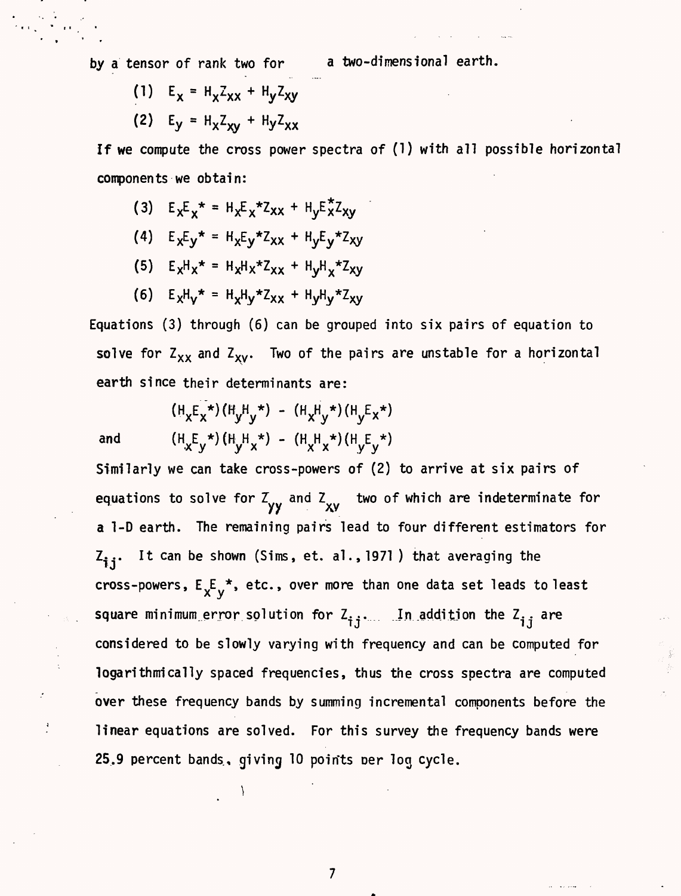by a tensor of rank two for a two-dimensional earth.

(1)  $E_x = H_x Z_{xx} + H_y Z_{xy}$ **(2)**  $E_V = H_X Z_{XV} + H_V Z_{XX}$ 

If we compute the cross power spectra of (1) with all possible horizontal components we obtain:

- (3)  $E_x E_y^* = H_x E_y^* Z_{XX} + H_y E_x^* Z_{XX}$
- (4)  $E_X E_Y^* = H_X E_Y^* Z_{XX} + H_Y E_Y^* Z_{XY}$
- $(5)$   $E_xH_x* = H_xH_x*Z_{xx} + H_yH_x*Z_{xy}$
- **(6)**  $E_xH_y* = H_xH_y*Z_{xy} + H_yH_y*Z_{xy}$

Equations (3) through (6) can be grouped into six pairs of equation to solve for  $Z_{XX}$  and  $Z_{XY}$ . Two of the pairs are unstable for a horizontal earth since their determinants are:

 $(H_{x}E_{x}^{*}) (H_{y}H_{y}^{*}) - (H_{x}H_{y}^{*}) (H_{y}E_{x}^{*})$ and  $(H_XE_V^*) (H_VH_X^*) - (H_XH_X^*) (H_VE_V^*)$ 

\

 $\ddot{\cdot}$ 

Similarly we can take cross-powers of (2) to arrive at six pairs of equations to solve for Z<sub>yy</sub> and Z<sub>xy</sub> two of which are indeterminate for a l-D earth. The remaining pairs lead to four different estimators for  $Z_{i,i}$ . It can be shown (Sims, et. al., 1971) that averaging the cross-powers,  $E_{\mathsf{X}}^{\mathsf{F}}\mathsf{y}^{\star}$ , etc., over more than one data set leads to least square minimum error solution for  $z_{i,j}$ . In addition the  $z_{i,j}$  are considered to be slowly varying with frequency and can be computed for logarithmically spaced frequencies, thus the cross spectra are computed over these frequency bands by summing incremental components before the linear equations are solved. For this survey the frequency bands were 25.9 percent bands, giving 10 points per log cycle.

 $\overline{\mathcal{L}}$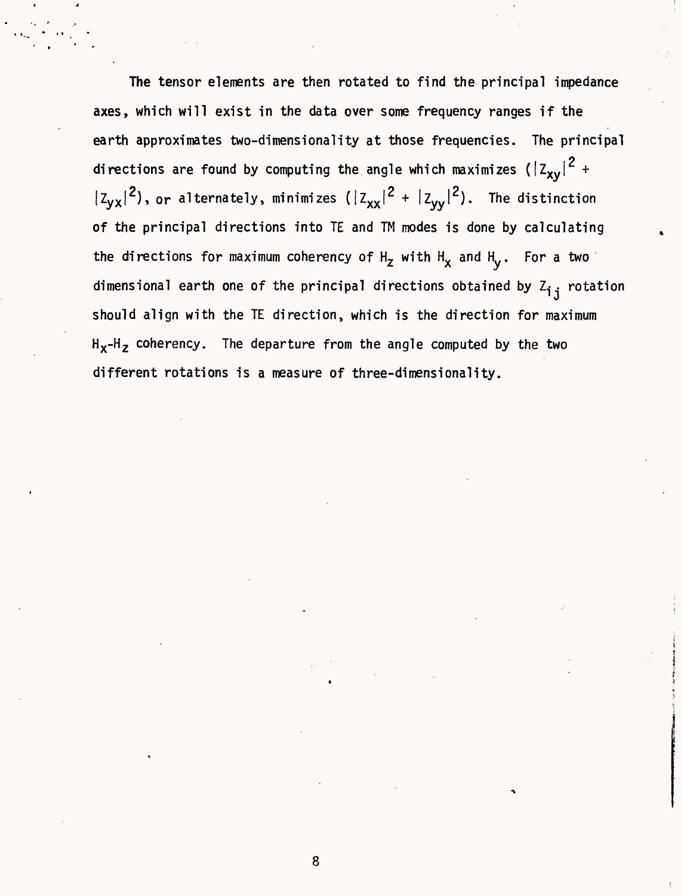The tensor elements are then rotated to find the principal impedance axes, which will exist in the data over some frequency ranges if the earth approximates two-dimensionality at those frequencies. The principal directions are found by computing the angle which maximizes  $(\left|Z_\mathbf{xv}\right|^2 + \left|Z_\mathbf{xv}\right|^2)$  $|z_{yx}|^2$ ), or alternately, minimizes ( $|z_{xx}|^2 + |z_{yy}|^2$ ). The distinction of the principal directions into TE and TM modes is done by calculating the directions for maximum coherency of  $H_z$  with  $H_x$  and  $H_y$ . For a two dimensional earth one of the principal directions obtained by  $z_{i,j}$  rotation should align with the TE direction, which is the direction for maximum  $H_X-H_Z$  coherency. The departure from the angle computed by the two different rotations is a measure of three-dimensionality.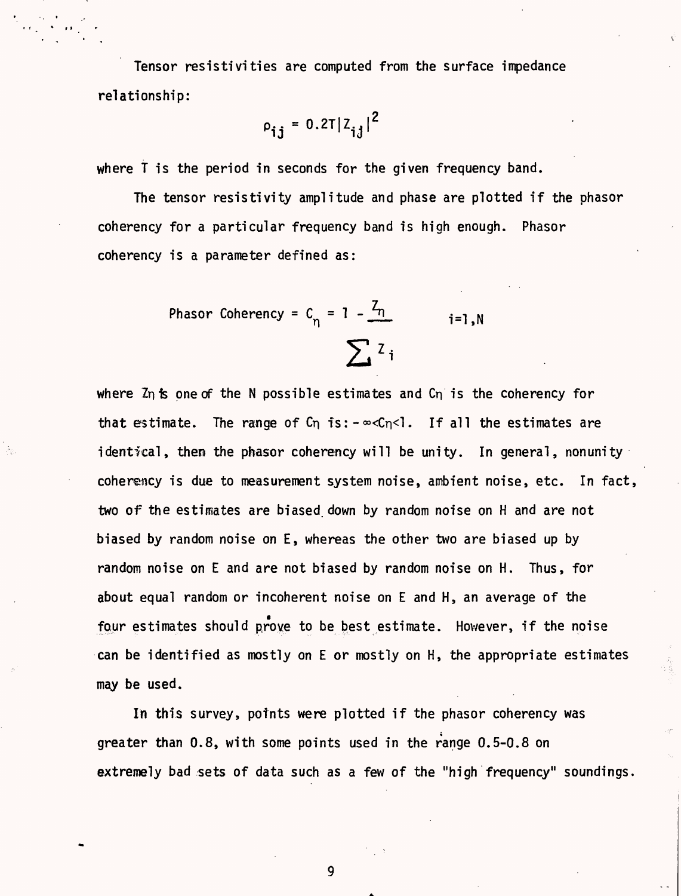Tensor resistivities are computed from the surface impedance relationship:

$$
\rho_{ij} = 0.2T |Z_{ij}|^2
$$

where T is the period in seconds for the given frequency band.

The tensor resistivity amplitude and phase are plotted if the phasor coherency for a particular frequency band is high enough. Phasor coherency is a parameter defined as:

> Phasor Coherency =  $C_n = 1 - \frac{Z_n}{N}$  i=1,N  $\sum_i z_i$

where  $Z_n$  is one of the N possible estimates and  $C_n$  is the coherency for that estimate. The range of Cn is:  $-\infty$ Cn<l. If all the estimates are identical, then the phasor coherency will be unity. In general, nonunity coherency is due to measurement system noise, ambient noise, etc. In fact, two of the estimates are biased down by random noise on H and are not biased by random noise on E, whereas the other two are biased up by random noise on E and are not biased by random noise on H. Thus, for about equal random or incoherent noise on E and H, an average of the four estimates should prove to be best estimate. However, if the noise can be identified as mostly on E or mostly on H, the appropriate estimates may be used.

In this survey, points were plotted if the phasor coherency was greater than 0.8, with some points used in the range 0.5-0.8 on extremely bad sets of data such as a few of the "high frequency" soundings.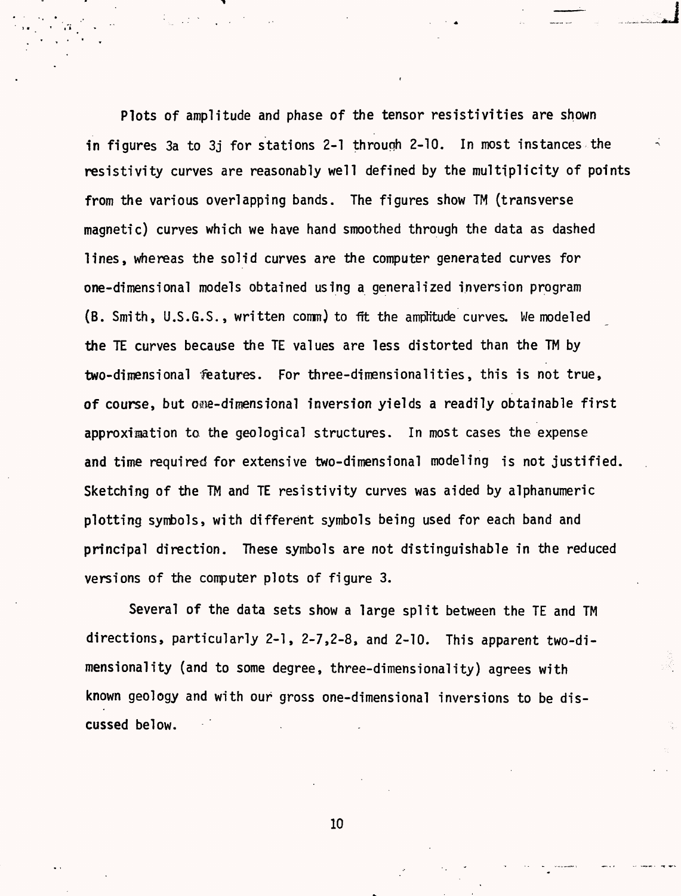Plots of amplitude and phase of the tensor resistivities are shown in figures 3a to 3i for stations 2-1 through 2-10. In most instances the resistivity curves are reasonably well defined by the multiplicity of points from the various overlapping bands. The figures show TM (transverse magnetic) curves which we have hand smoothed through the data as dashed lines, whereas the solid curves are the computer generated curves for one-dimensional models obtained using a generalized inversion program (B. Smith, U.S.G.S., written comm) to 1ft the amplitude curves. We modeled the TE curves because the TE values are less distorted than the TM by two-dimensional features. For three-dimensionalities, this is not true, of course, but one-dimensional inversion yields a readily obtainable first approximation ta the geological structures. In most cases the expense and time required for extensive two-dimensional modeling is not justified. Sketching of the TM and TE resistivity curves was aided by alphanumeric plotting symbols, with different symbols being used for each band and principal direction. These symbols are not distinguishable in the reduced versions of the computer plots of figure 3.

Several of the data sets show a large split between the TE and TM directions, particularly 2-1, 2-7,2-8, and 2-10. This apparent two-dimensionality (and to some degree, three-dimensionality) agrees with known geology and with our gross one-dimensional inversions to be discussed below.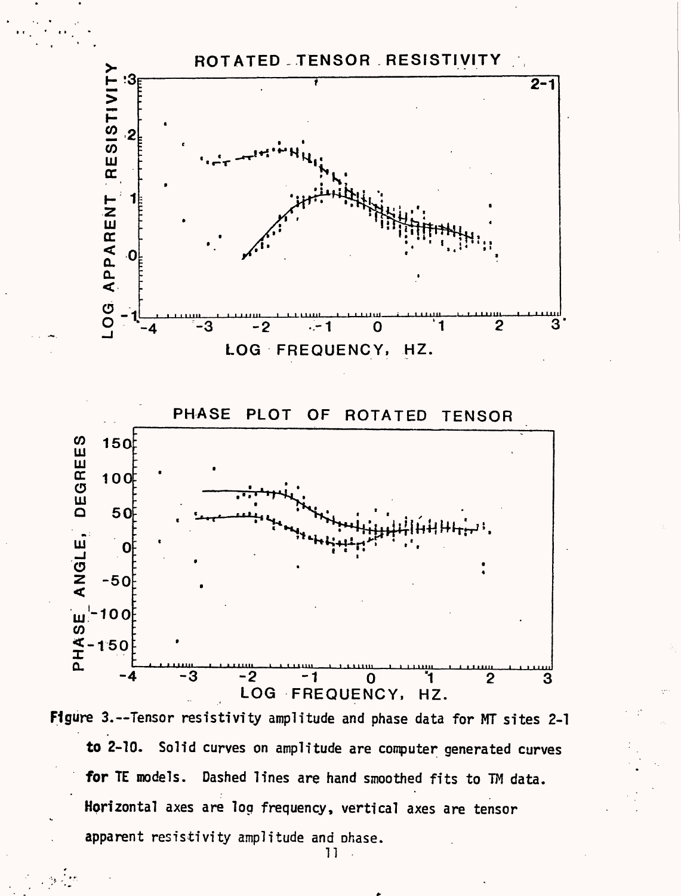

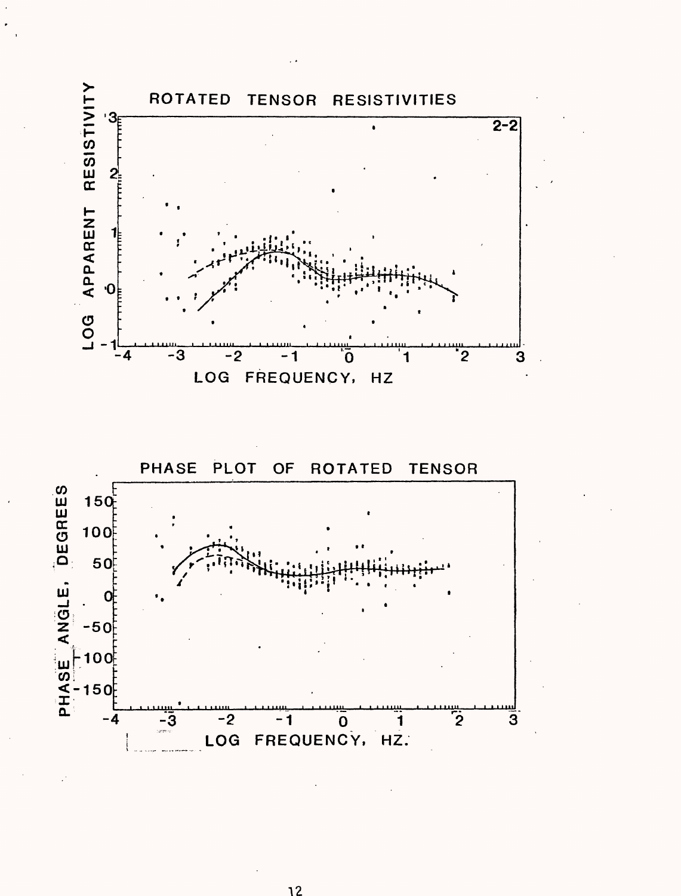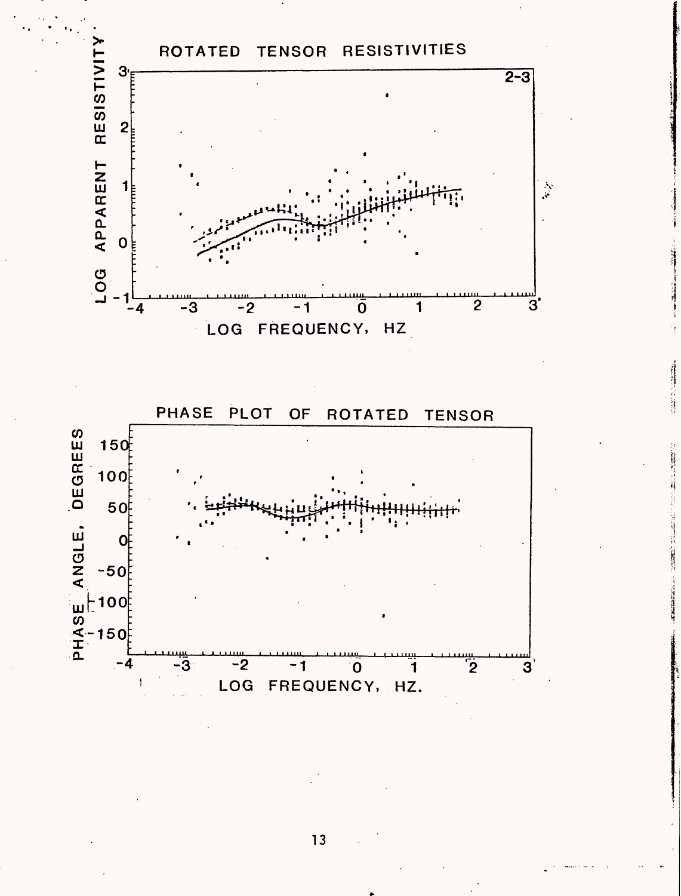

Ŋ

**THE REAL PROPERTY** 

 $\overline{-2}$  $-3$  $-1$  $\overline{\mathbf{0}}$ <u>้</u> LOG FREQUENCY, HZ.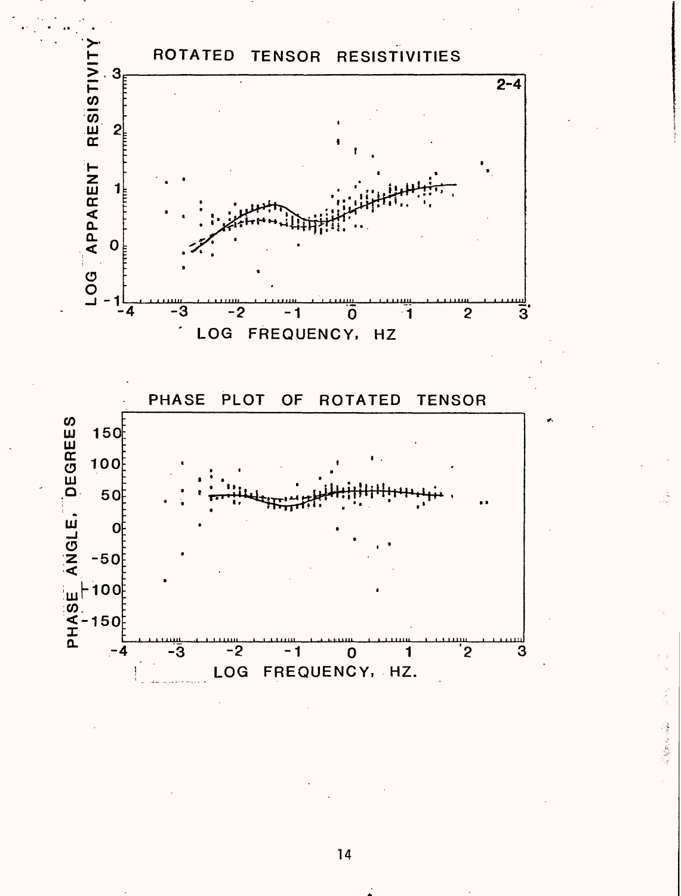

一個 人名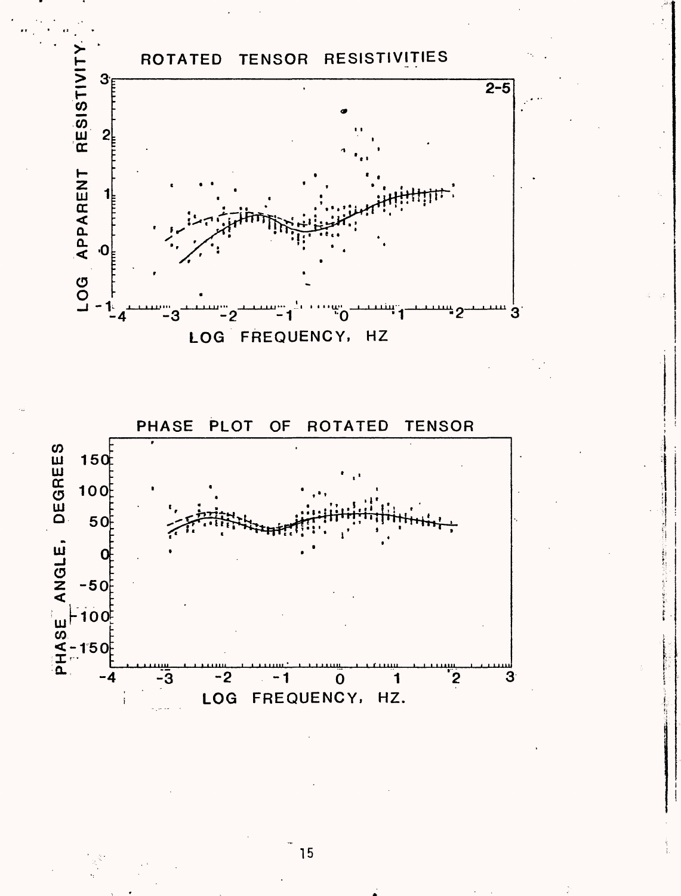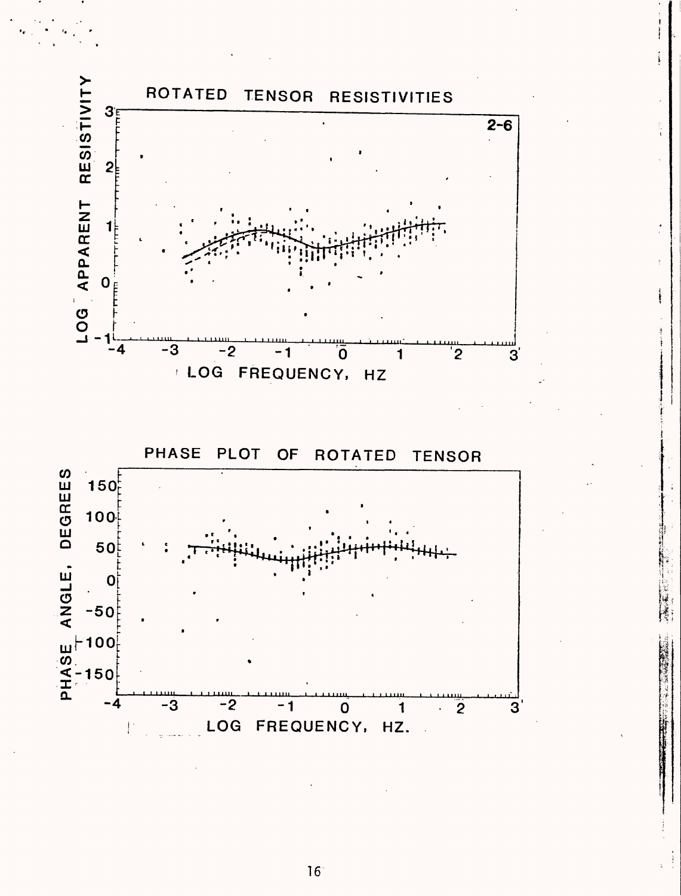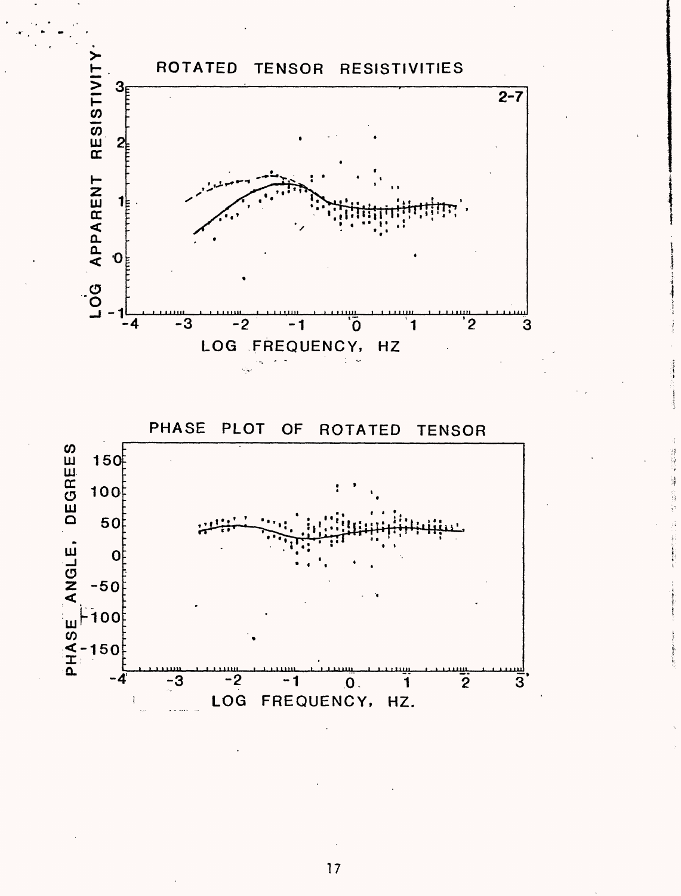

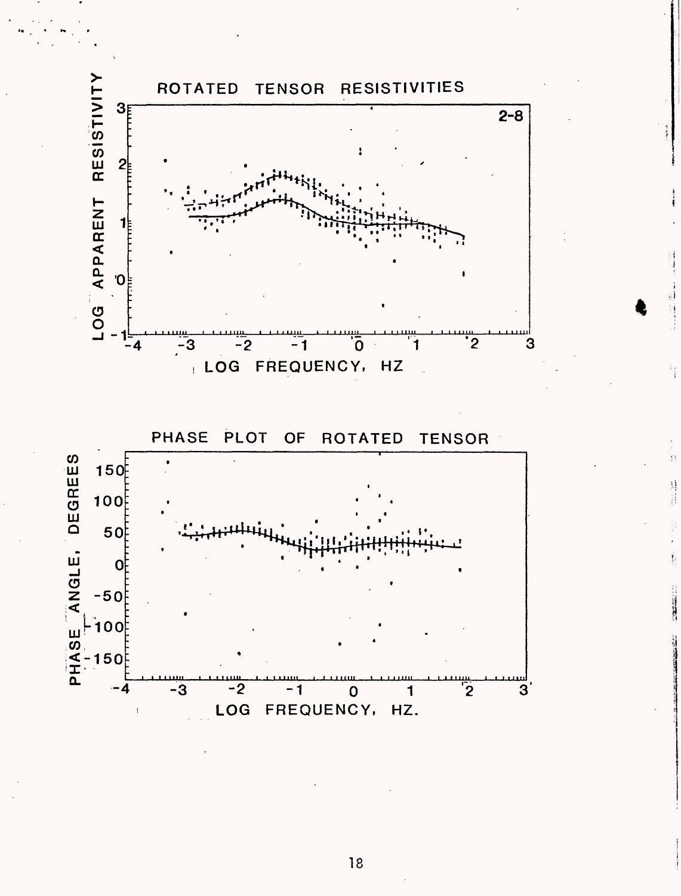

ĵ.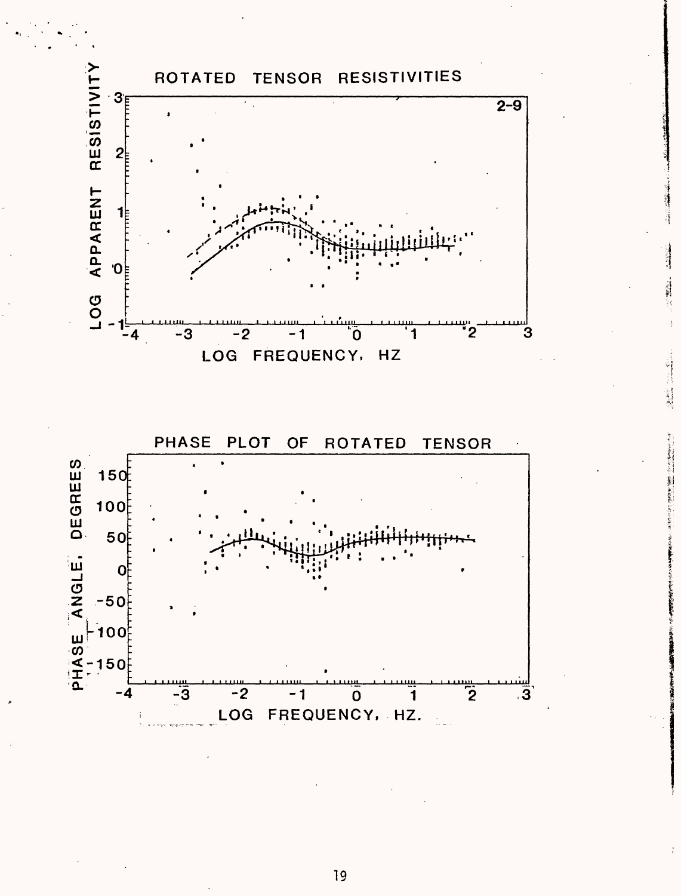

「大きなので、「大きなので、「大きなので、「大きなので、」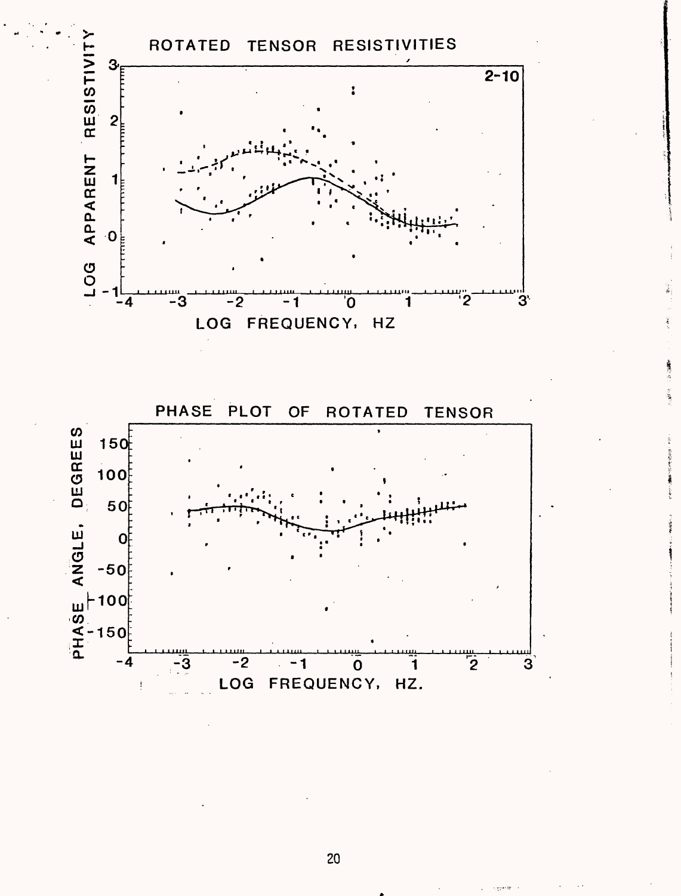

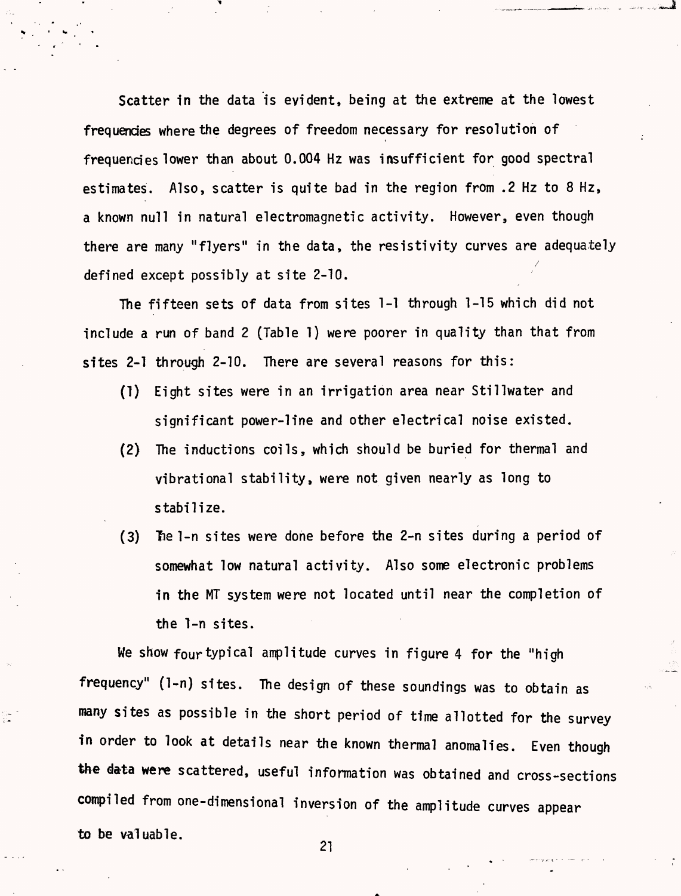Scatter in the data is evident, being at the extreme at the lowest frequencies where the degrees of freedom necessary for resolution of frequencies lower than about 0.004 Hz was insufficient for good spectral estimates. Also, scatter is quite bad in the region from .2 Hz to 8 Hz, a known null in natural electromagnetic activity. However, even though there are many "flyers" in the data, the resistivity curves are adequately / defined except possibly at site 2-10.

The fifteen sets of data from sites 1-1 through 1-15 which did not include a run of band 2 (Table 1) were poorer in quality than that from sites 2-1 through 2-10. There are several reasons for this:

- (!) Eight sites were in an irrigation area near Stillwater and significant power-line and other electrical noise existed.
- (2) The inductions coils, which should be buried for thermal and vibrational stability, were not given nearly as long to stabilize.
- (3) The 1-n sites were done before the 2-n sites during a period of somewhat low natural activity. Also some electronic problems in the MT system were not located until near the completion of the 1-n sites.

We show four typical amplitude curves in figure 4 for the "high frequency" (1-n) sites. The design of these soundings was to obtain as many sites as possible in the short period of time allotted for the survey in order to look at details near the known thermal anomalies. Even though the data were scattered, useful information was obtained and cross-sections compiled from one-dimensional inversion of the amplitude curves appear to be valuable.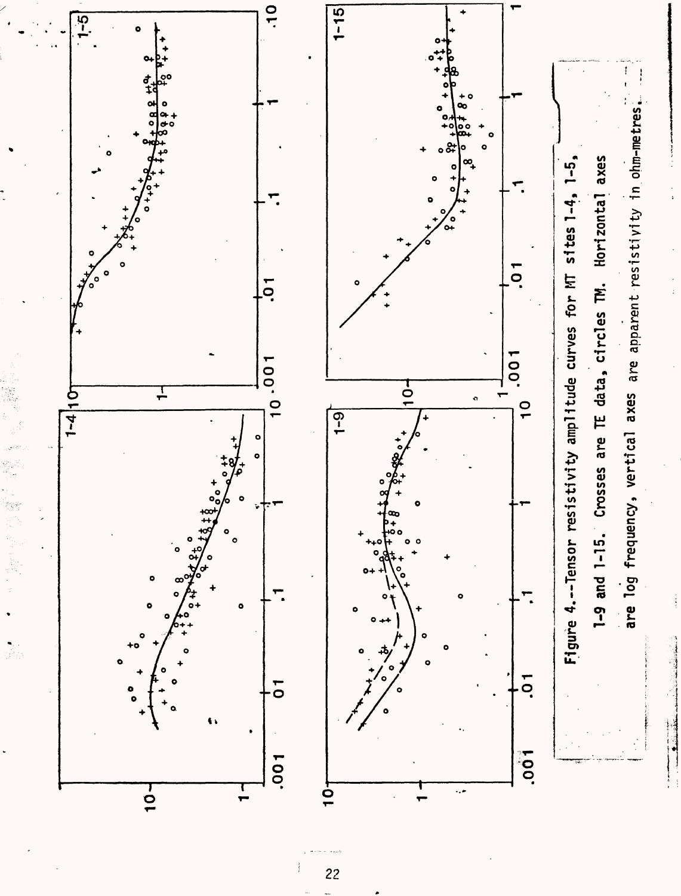

 $\overline{22}$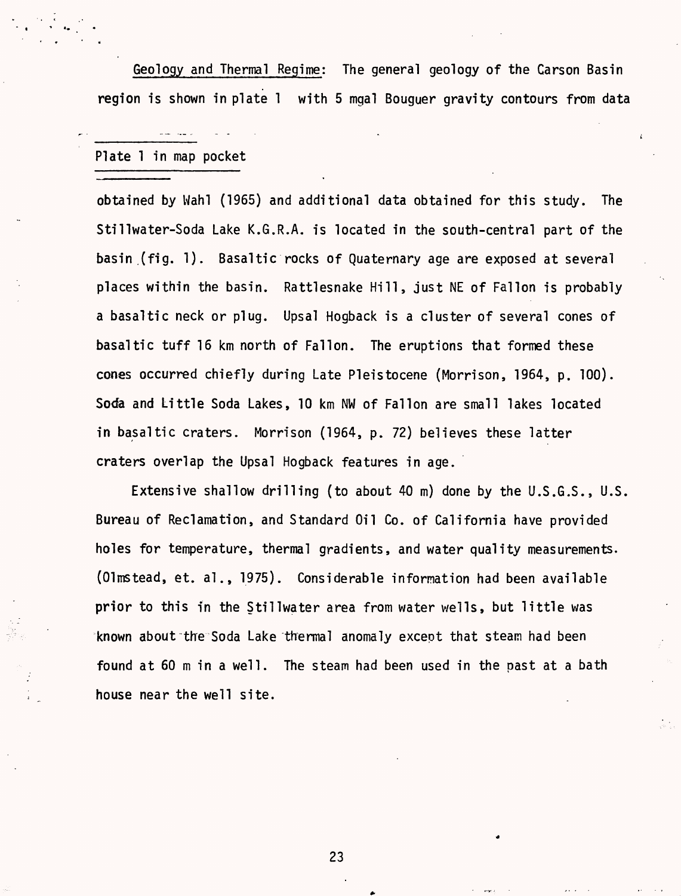Geology and Thermal Regime: The general geology of the Carson Basin region is shown in plate 1 with 5 mgal Bouguer gravity contours from data

Plate 1 in map pocket

obtained by Wahl (1965) and additional data obtained for this study. The Stillwater-Soda Lake K.G.R.A. is located in the south-central part of the basin (fig. 1). Basaltic rocks of Quaternary age are exposed at several places within the basin. Rattlesnake Hill, just NE of Fallon is probably a basaltic neck or plug. Upsal Hogback is a cluster of several cones of basaltic tuff 16 km north of Fallon. The eruptions that formed these cones occurred chiefly during Late Pleistocene (Morrison, 1964, p. 100). Soda and Little Soda Lakes, 10 km NW of Fallon are small lakes located in basaltic craters. Morrison (1964, p. 72) believes these latter craters overlap the Upsal Hogback features in age.

Extensive shallow drilling (to about 40 m) done by the U.S.G.S., U.S. Bureau of Reclamation, and Standard Oil Co. of California have provided holes for temperature, thermal gradients, and water quality measurements. (Olmstead, et. al., 1975). Considerable information had been available prior to this in the Stillwater area from water wells, but little was known about the Soda Lake thermal anomaly except that steam had been found at 60 m in a well. The steam had been used in the past at a bath house near the well site.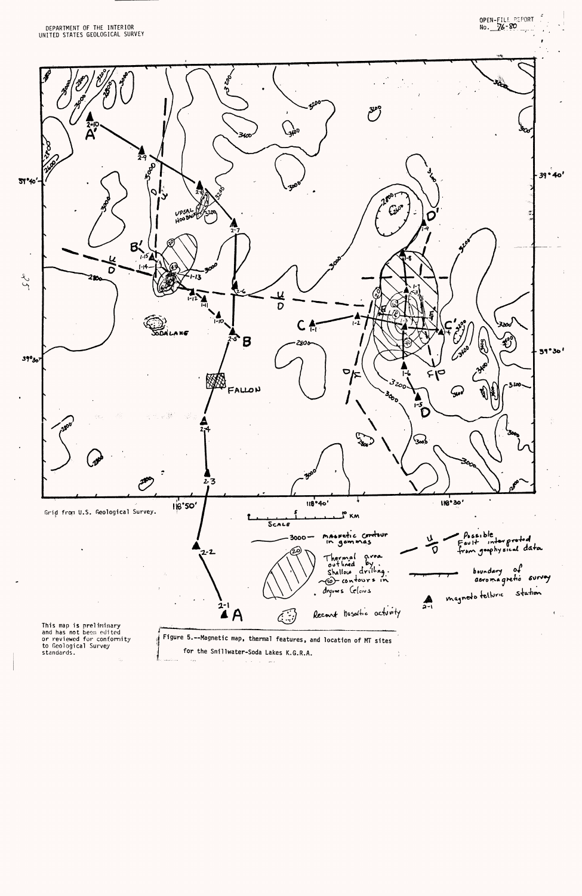

 $\label{eq:1} \begin{array}{ll} \mathcal{D}_{\mathcal{C}}(x) & \text{var}(x) \in \mathcal{D}_{\mathcal{C}}(x) \times \mathcal{D}_{\mathcal{C}}(x) \times \mathcal{D}_{\mathcal{C}}(x) \times \mathcal{D}_{\mathcal{C}}(x) \times \mathcal{D}_{\mathcal{C}}(x) \times \mathcal{D}_{\mathcal{C}}(x) \times \mathcal{D}_{\mathcal{C}}(x) \times \mathcal{D}_{\mathcal{C}}(x) \times \mathcal{D}_{\mathcal{C}}(x) \times \mathcal{D}_{\mathcal{C}}(x) \times \mathcal{D}_{\mathcal{C$  $\mathcal{A}^{\pm}$  ,  $\mathcal{A}^{\pm}$  ,  $\mathcal{A}^{\pm}$  , and  $\mathcal{A}^{\pm}$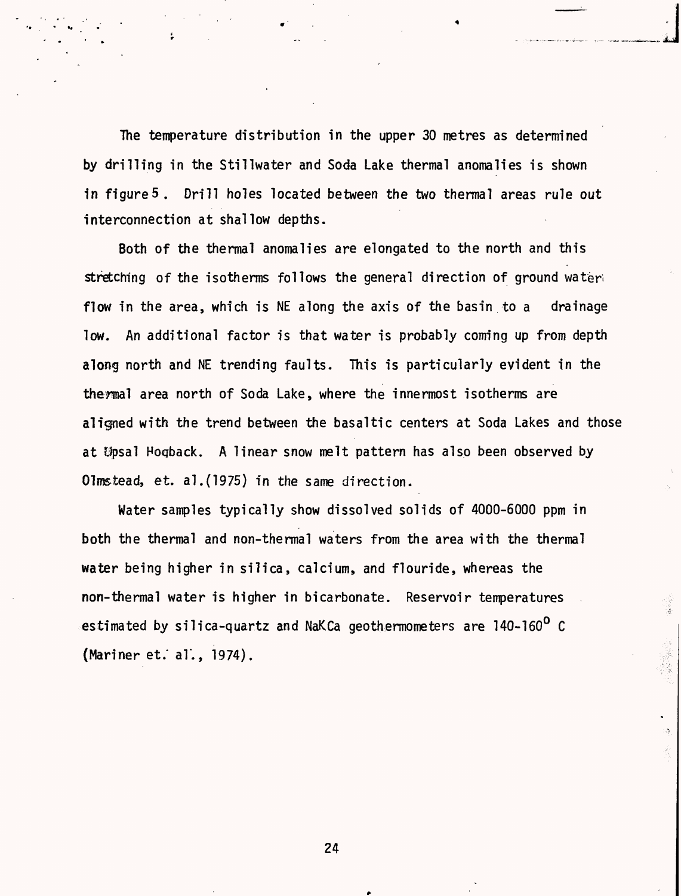The temperature distribution in the upper 30 metres as determined by drilling in the Stillwater and Soda Lake thermal anomalies is shown in figure 5. Drill holes located between the two thermal areas rule out interconnection at shallow depths.

Both of the thermal anomalies are elongated to the north and this stretching of the isotherms follows the general direction of ground wateri flow in the area, which is NE along the axis of the basin to a drainage low. An additional factor is that water is probably coming up from depth along north and NE trending faults. This is particularly evident in the thermal area north of Soda Lake, where the innermost isotherms are aligned with the trend between the basaltic centers at Soda Lakes and those at Upsal Hogback. A linear snow melt pattern has also been observed by Olmstead, et. al.(1975) in the same direction.

Water samples typically show dissolved solids of 4000-6000 ppm in both the thermal and non-thermal waters from the area with the thermal water being higher in silica, calcium, and flouride, whereas the non-thermal water is higher in bicarbonate. Reservoir temperatures estimated by silica-quartz and NaKCa geothermometers are 140-160<sup>0</sup> C  $(Mariner et.: al.: 1974).$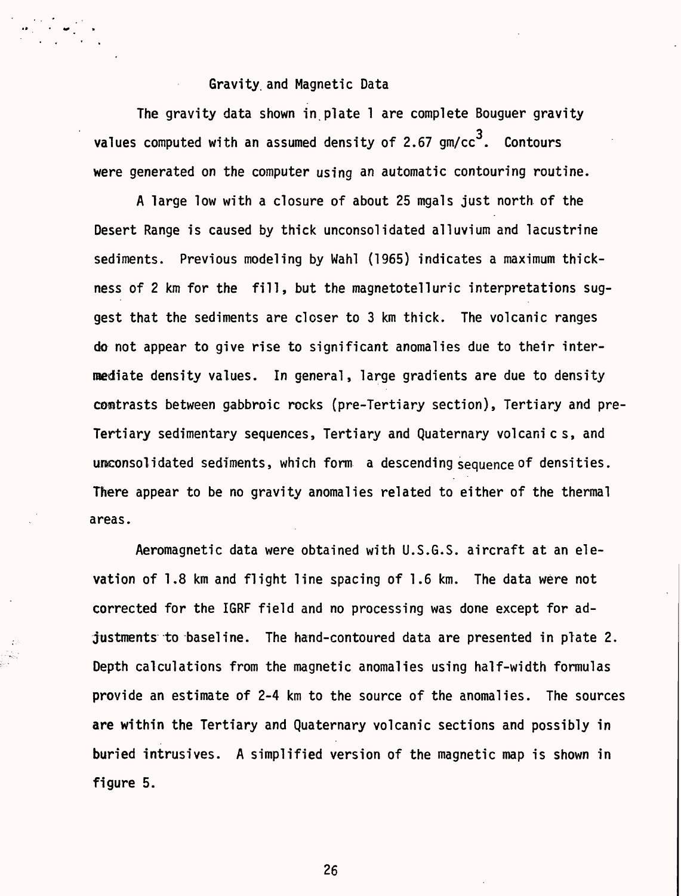#### Gravity, and Magnetic Data

The gravity data shown in plate 1 are complete Bouguer gravity values computed with an assumed density of 2.67  $gm/cc<sup>3</sup>$ . Contours were generated on the computer using an automatic contouring routine.

A large low with a closure of about 25 mgals just north of the Desert Range is caused by thick unconsolidated alluvium and lacustrine sediments. Previous modeling by Wahl (1965) indicates a maximum thickness of 2 km for the fill, but the magnetotelluric interpretations suggest that the sediments are closer to 3 km thick. The volcanic ranges do not appear to give rise to significant anomalies due to their intermediate density values. In general, large gradients are due to density contrasts between gabbroic rocks (pre-Tertiary section), Tertiary and pre-Tertiary sedimentary sequences, Tertiary and Quaternary volcanic s, and unconsolidated sediments, which form a descending sequence of densities. There appear to be no gravity anomalies related to either of the thermal areas.

Aeromagnetic data were obtained with U.S.G.S. aircraft at an elevation of 1.8 km and flight line spacing of 1.6 km. The data were not corrected for the IGRF field and no processing was done except for adjustments to baseline. The hand-contoured data are presented in plate 2. Depth calculations from the magnetic anomalies using half-width formulas provide an estimate of 2-4 km to the source of the anomalies. The sources are within the Tertiary and Quaternary volcanic sections and possibly in buried intrusives. A simplified version of the magnetic map is shown in figure 5.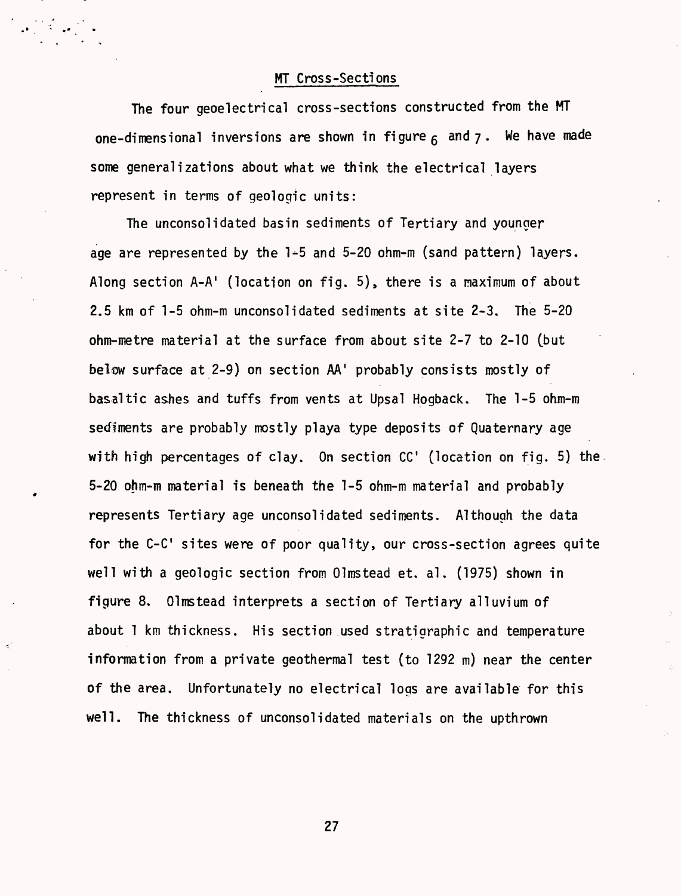MT Cross-Sections

The four geoelectrical cross-sections constructed from the MT one-dimensional inversions are shown in figure  $6$  and  $7$ . We have made some generalizations about what we think the electrical layers represent in terms of geologic units:

The unconsolidated basin sediments of Tertiary and younger age are represented by the 1-5 and 5-20 ohm-m (sand pattern) layers. Along section  $A-A'$  (location on fig. 5), there is a maximum of about 2.5 km of 1-5 ohm-m unconsolidated sediments at site 2-3, The 5-20 ohm-metre material at the surface from about site 2-7 to 2-10 (but below surface at 2-9) on section AA' probably consists mostly of basaltic ashes and tuffs from vents at Upsal Hogback. The 1-5 ohm-m sediments are probably mostly playa type deposits of Quaternary age with high percentages of clay. On section  $CC'$  (location on fig. 5) the 5-20 ohm-m material is beneath the 1-5 ohm-m material and probably represents Tertiary age unconsolidated sediments. Although the data for the C-C' sites were of poor quality, our cross-section agrees quite well with a geologic section from Olmstead et. al. (1975) shown in figure 8. Olmstead interprets a section of Tertiary alluvium of about 1 km thickness. His section used stratigraphic and temperature information from a private geothermal test (to 1292 m) near the center of the area. Unfortunately no electrical logs are available for this well. The thickness of unconsolidated materials on the upthrown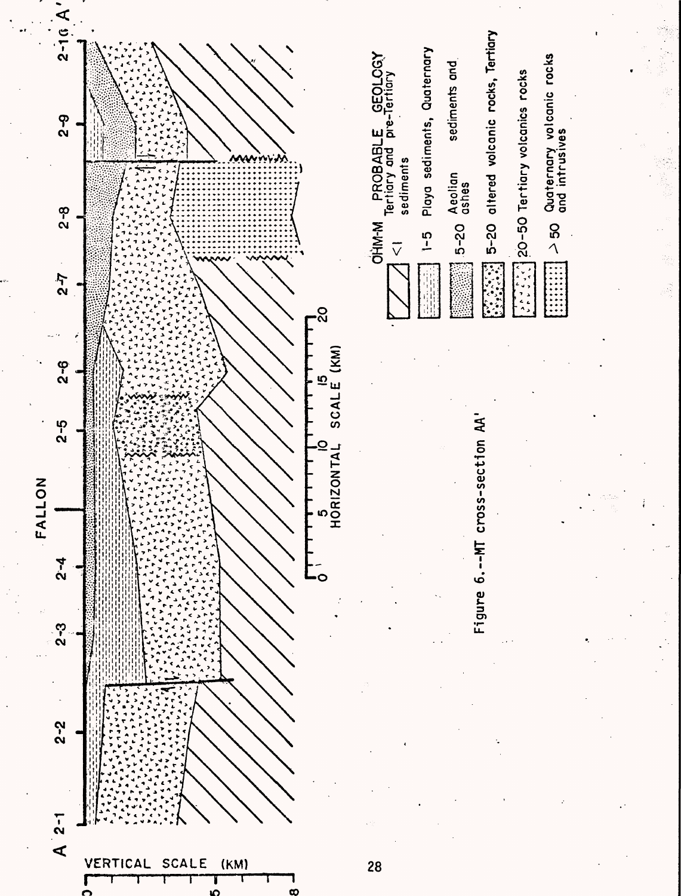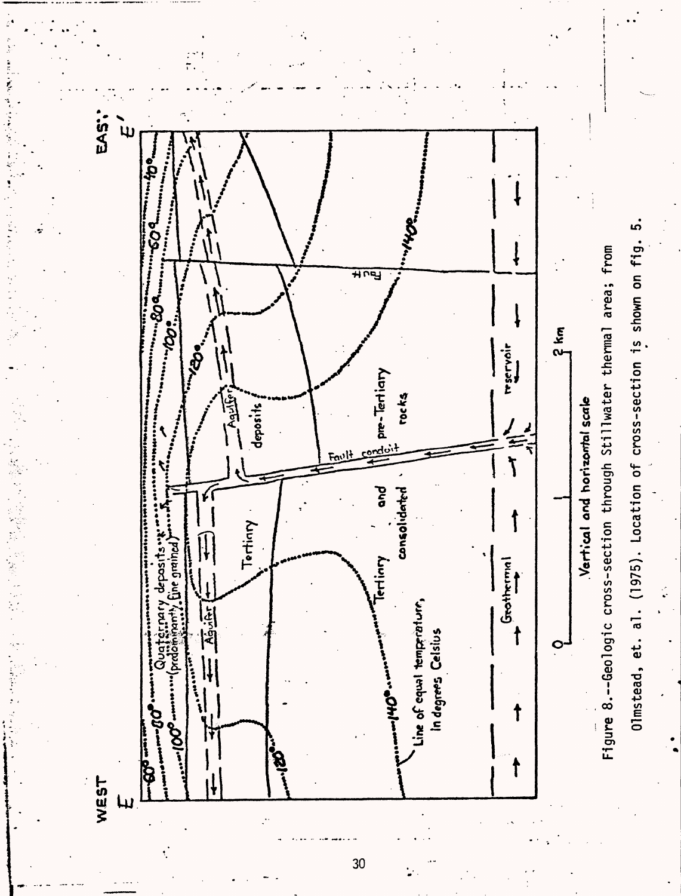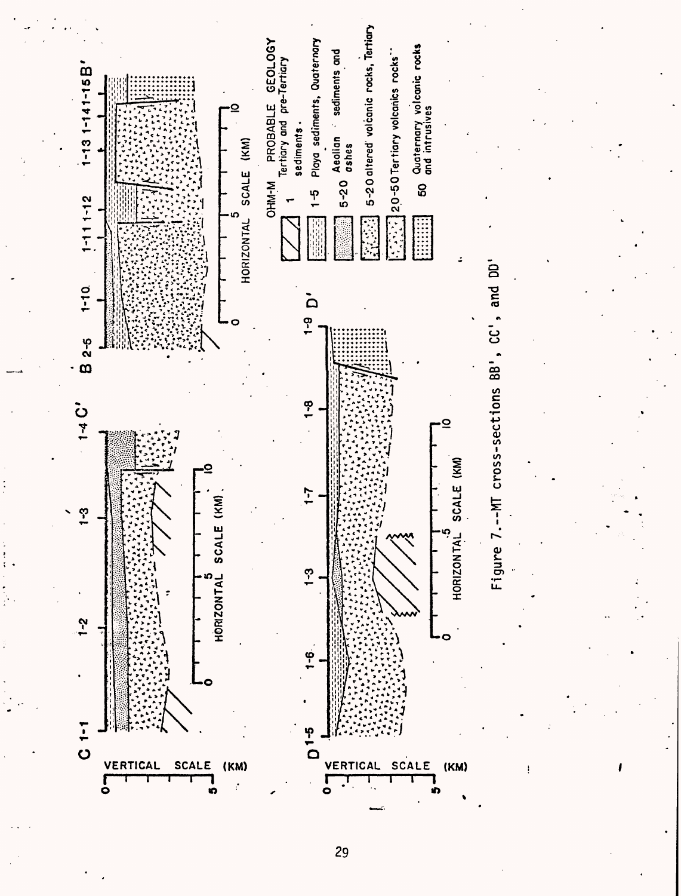

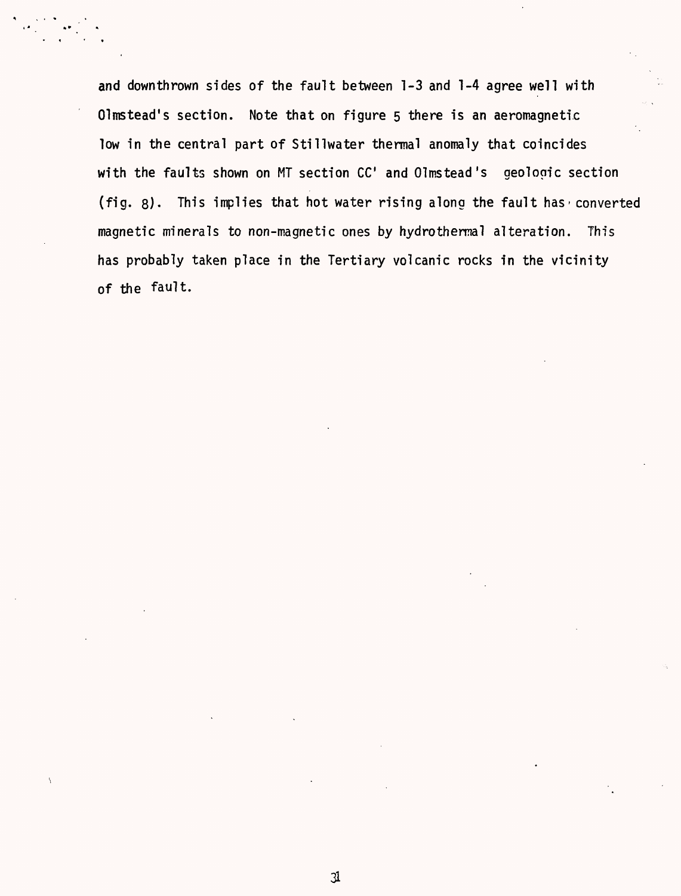and downthrown sides of the fault between 1-3 and 1-4 agree well with Olmstead's section. Note that on figure 5 there is an aeromagnetic low in the central part of Stillwater thermal anomaly that coincides with the faults shown on MT section CC' and Olmstead's geologic section (fig.  $g$ ). This implies that hot water rising along the fault has converted magnetic minerals to non-magnetic ones by hydrothermal alteration. This has probably taken place in the Tertiary volcanic rocks in the vicinity of the fault.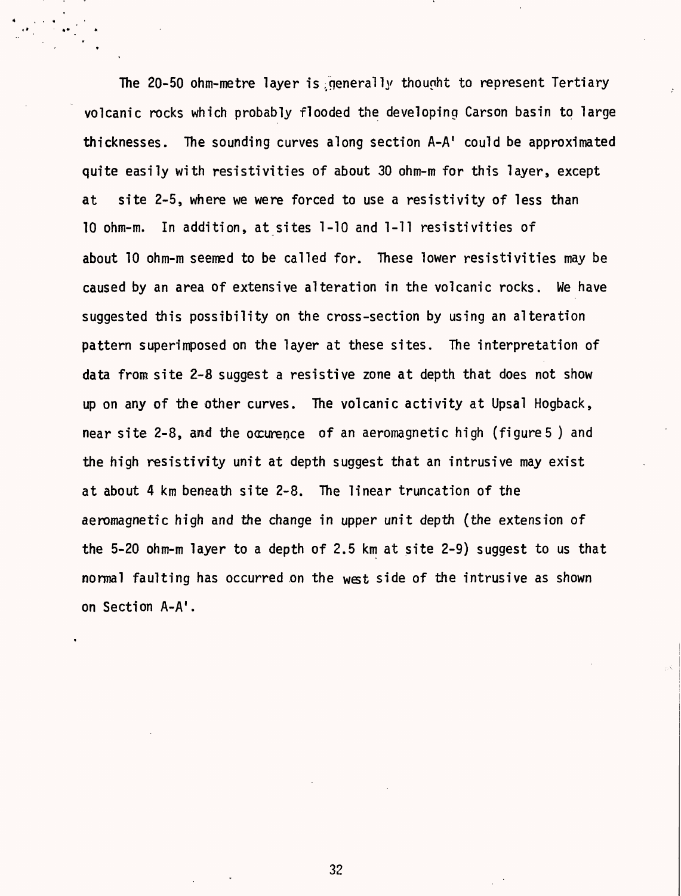The 20-50 ohm-metre layer is generally thought to represent Tertiary volcanic rocks which probably flooded the developing Carson basin to large thicknesses. The sounding curves along section  $A-A'$  could be approximated quite easily with resistivities of about 30 ohm-m for this layer, except at site 2-5, where we were forced to use a resistivity of less than 10 ohm-m. In addition, at sites 1-10 and 1-11 resistivities of about 10 ohm-m seemed to be called for. These lower resistivities may be caused by an area of extensive alteration in the volcanic rocks. We have suggested this possibility on the cross-section by using an alteration pattern superimposed on the layer at these sites. The interpretation of data from site 2-8 suggest a resistive zone at depth that does not show up on any of the other curves. The volcanic activity at Upsal Hogback, near site 2-8, and the occurence of an aeromagnetic high (figures ) and the high resistivity unit at depth suggest that an intrusive may exist at about 4 km beneath site 2-8. The linear truncation of the aeromagnetic high and the change in upper unit depth (the extension of the 5-20 ohm-m layer to a depth of 2.5 km at site 2-9) suggest to us that normal faulting has occurred on the west side of the intrusive as shown on Section A-A'.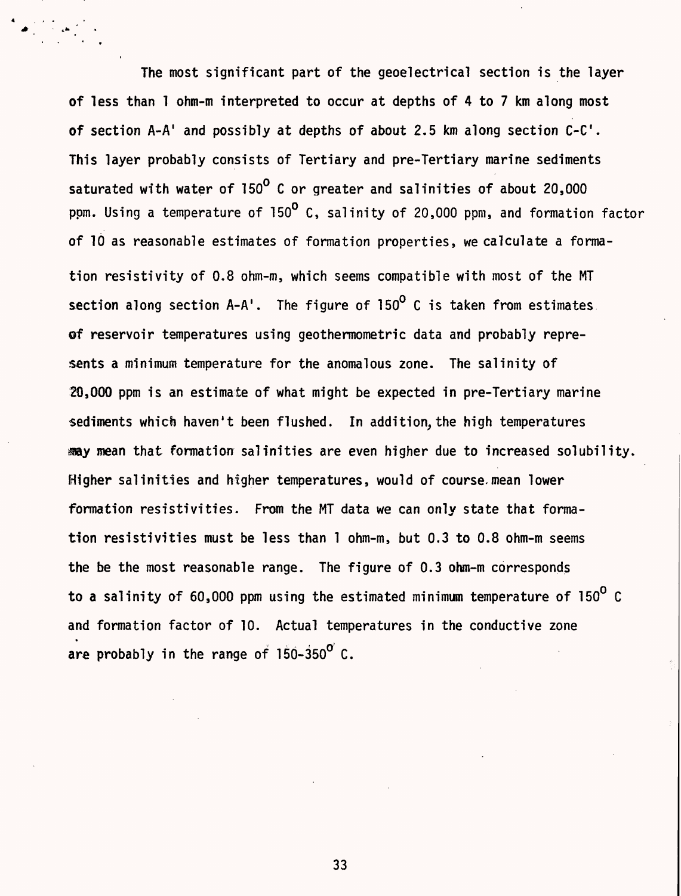The most significant part of the geoelectrical section is the layer of less than 1 ohm-m interpreted to occur at depths of 4 to 7 km along most of section  $A-A'$  and possibly at depths of about 2.5 km along section  $C-C'$ . This layer probably consists of Tertiary and pre-Tertiary marine sediments saturated with water of 150<sup>0</sup> C or greater and salinities of about 20,000 ppm. Using a temperature of 150° C, salinity of 20,000 ppm, and formation factor of 10 as reasonable estimates of formation properties, we calculate a formation resistivity of 0.8 ohm-m, which seems compatible with most of the MT section along section  $A-A'$ . The figure of  $150^{\circ}$  C is taken from estimates. **of** reservoir temperatures using geothermometric data and probably represents a minimum temperature for the anomalous zone. The salinity of 20,000 ppm is an estimate of what might be expected in pre-Tertiary marine sediments which haven't been flushed. In addition, the high temperatures my mean that formation salinities are even higher due to increased solubility. Higher salinities and higher temperatures, would of course.mean lower formation resistivities. From the MT data we can only state that formation resistivities must be less than 1 ohm-m, but 0.3 to 0.8 ohm-m seems the be the most reasonable range. The figure of 0.3 ohm-m corresponds to a salinity of 60,000 ppm using the estimated minimum temperature of 150 $^{\circ}$  C and formation factor of 10. Actual temperatures in the conductive zone are probably in the range of  $150-350^{\circ}$  C.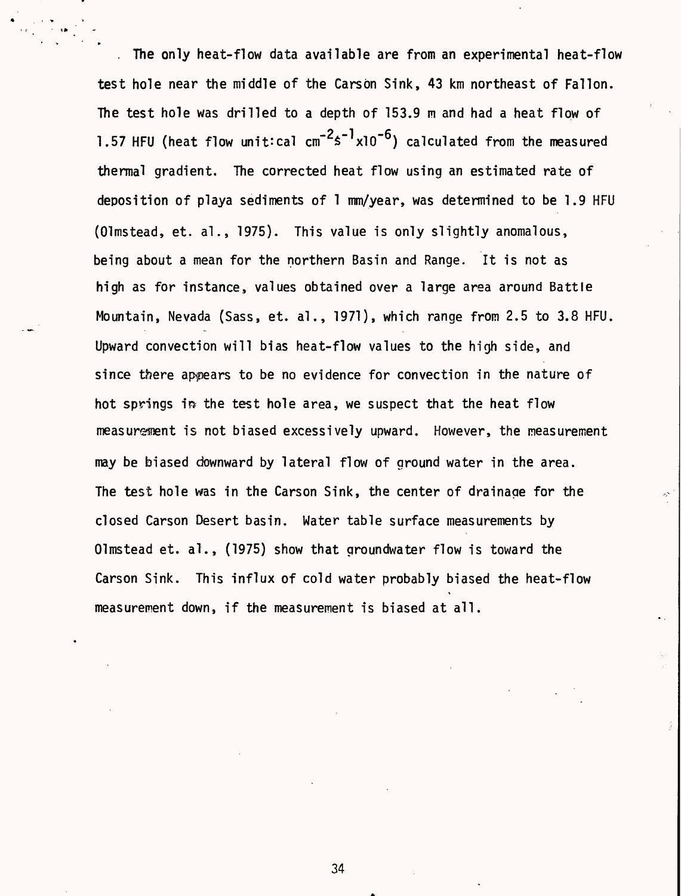The only heat-flow data available are from an experimental heat-flow test hole near the middle of the Carson Sink, 43 km northeast of Fallon. The test hole was drilled to a depth of 153.9 m and had a heat flow of 1.57 HFU (heat flow unit:cal  $cm^{-2} s^{-1} \times 10^{-6}$ ) calculated from the measured thermal gradient. The corrected heat flow using an estimated rate of deposition of playa sediments of 1 mm/year, was determined to be 1.9 HFU (Olmstead, et. al., 1975). This value is only slightly anomalous, being about a mean for the northern Basin and Range. It is not as high as for instance, values obtained over a large area around Battle Mountain, Nevada (Sass, et. al., 1971), which range from 2.5 to 3.8 HFU. Upward convection will bias heat-flow values to the high side, and since there appears to be no evidence for convection in the nature of hot springs in the test hole area, we suspect that the heat flow measurement is not biased excessively upward. However, the measurement may be biased downward by lateral flow of ground water in the area. The test hole was in the Carson Sink, the center of drainage for the closed Carson Desert basin. Water table surface measurements by Olmstead et. al., (1975) show that groundwater flow is toward the Carson Sink. This influx of cold water probably biased the heat-flow measurement down, if the measurement is biased at all.

 $\mathbf{a}$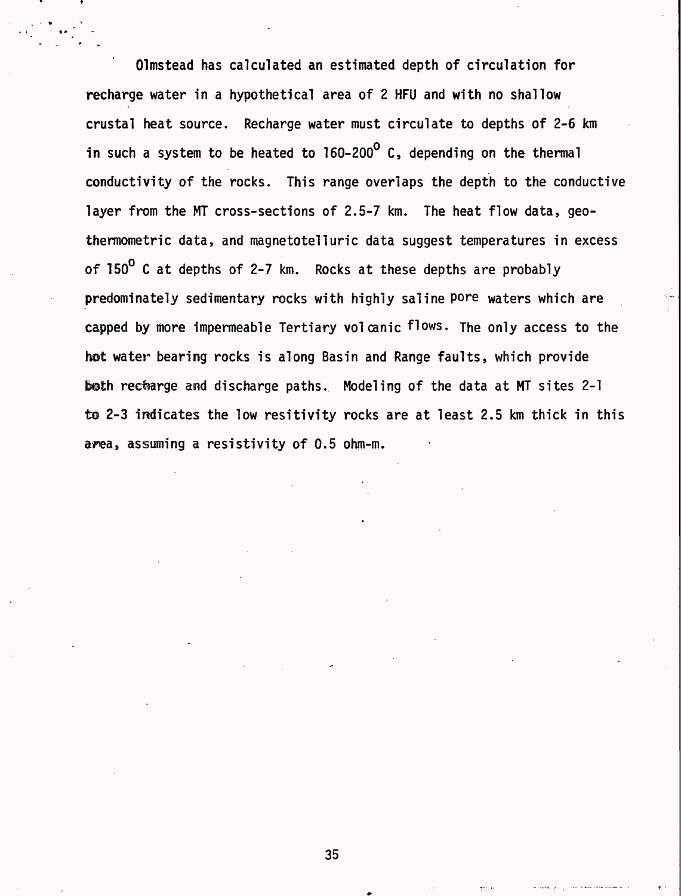Olmstead has calculated an estimated depth of circulation for recharge water in a hypothetical area of 2 HFU and with no shallow crustal heat source. Recharge water must circulate to depths of 2-6 km in such a system to be heated to  $160-200^{\circ}$  C, depending on the thermal conductivity of the rocks. This range overlaps the depth to the conductive layer from the MT cross-sections of 2.5-7 km. The heat flow data, geothermometric data, and magnetotelluric data suggest temperatures in excess of 150<sup>0</sup> C at depths of 2-7 km. Rocks at these depths are probably predominately sedimentary rocks with highly saline pore waters which are capped by more impermeable Tertiary volcanic flows. The only access to the hot water bearing rocks is along Basin and Range faults, which provide both recharge and discharge paths. Modeling of the data at MT sites 2-1 to 2-3 indicates the low resitivity rocks are at least 2.5 km thick in this area, assuming a resistivity of 0.5 ohm-m.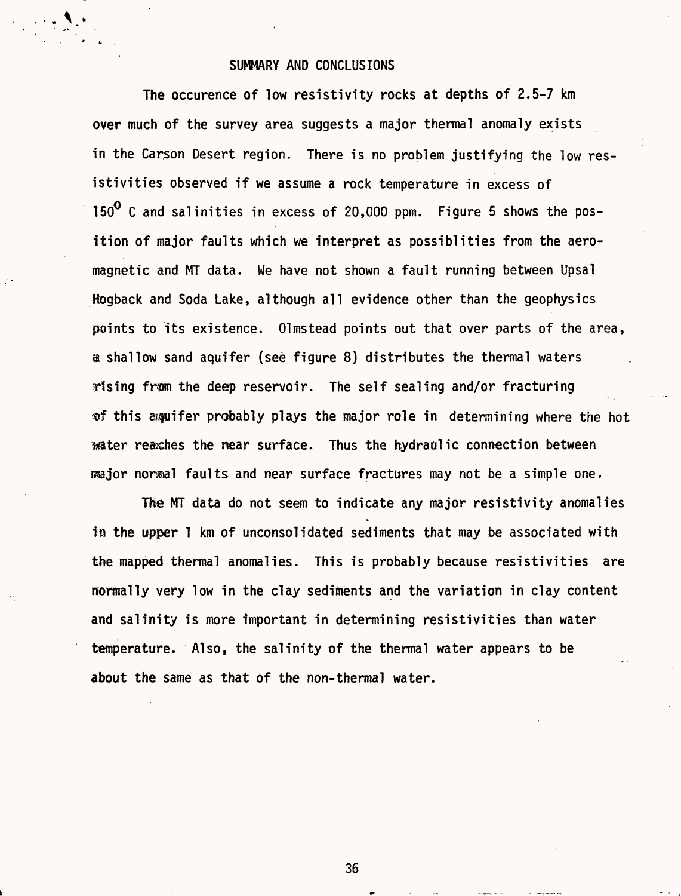#### SUMMARY AND CONCLUSIONS

The occurence of low resistivity rocks at depths of 2.5-7 km over much of the survey area suggests a major thermal anomaly exists in the Carson Desert region. There is no problem justifying the low resistivities observed if we assume a rock temperature in excess of 150<sup>0</sup> C and salinities in excess of 20,000 ppm. Figure 5 shows the position of major faults which we interpret as possiblities from the aeromagnetic and MT data. We have not shown a fault running between Upsal Hogback and Soda Lake, although all evidence other than the geophysics points to its existence. Olmstead points out that over parts of the area, a shallow sand aquifer (see figure 8) distributes the thermal waters rising frsm the deep reservoir. The self sealing and/or fracturing ®f this spifer probably plays the major role in determining where the hot mater reaches the mear surface. Thus the hydraulic connection between fisajor normal faults and near surface fractures may not be a simple one.

The MT data do not seem to indicate any major resistivity anomalies in the upper 1 km of unconsolidated sediments that may be associated with the mapped thermal anomalies. This is probably because resistivities are normally very low in the clay sediments and the variation in clay content and salinity is more important in determining resistivities than water temperature. Also, the salinity of the thermal water appears to be about the same as that of the non-thermal water.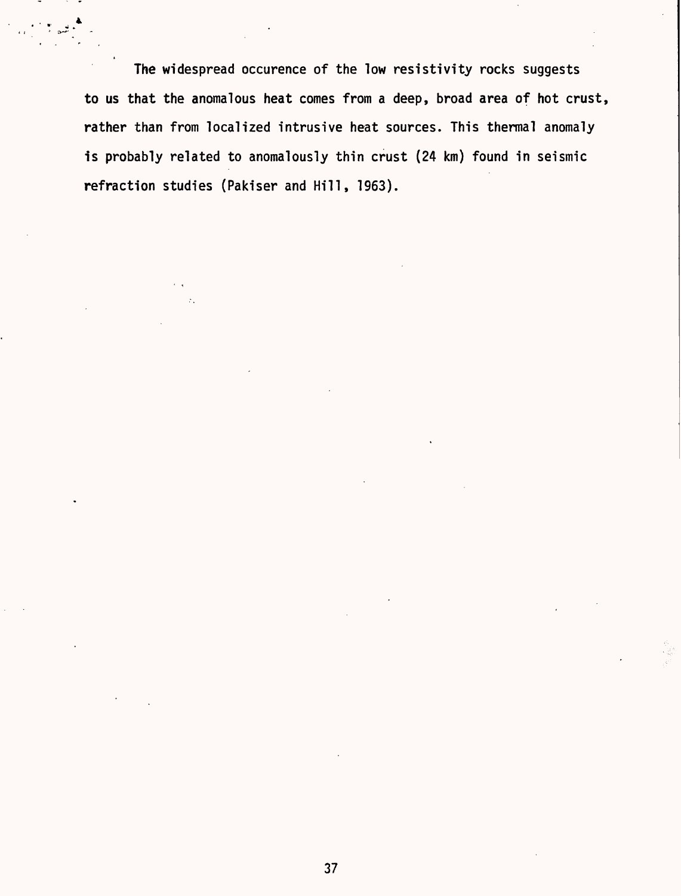The widespread occurence of the low resistivity rocks suggests to us that the anomalous heat comes from a deep, broad area of hot crust, rather than from localized intrusive heat sources. This thermal anomaly is probably related to anomalously thin crust (24 km) found in seismic refraction studies (Pakiser and Hill, 1963).